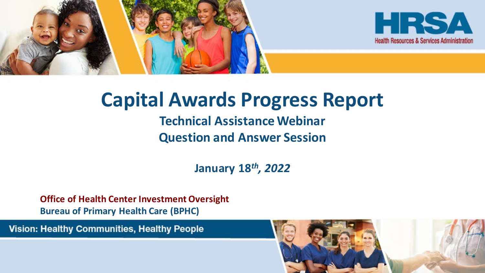



### **Capital Awards Progress Report**

### **Technical Assistance Webinar Question and Answer Session**

**January 18***th, 2022*

**Office of Health Center Investment Oversight Bureau of Primary Health Care (BPHC)**

Vision: Healthy Communities, Healthy People

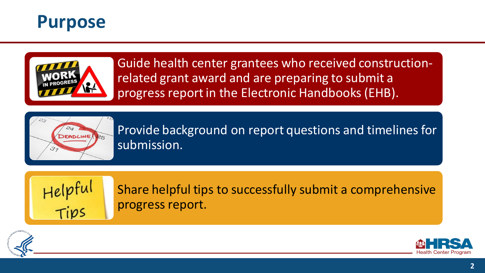



Guide health center grantees who received constructionrelated grant award and are preparing to submit a progress report in the Electronic Handbooks (EHB).



Provide background on report questions and timelines for submission.



Share helpful tips to successfully submit a comprehensive progress report.



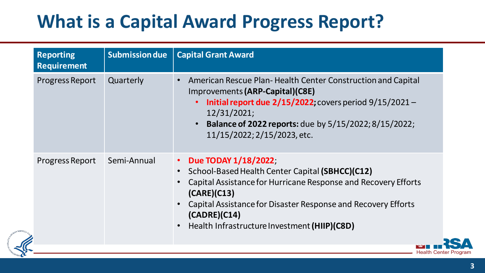### **What is a Capital Award Progress Report?**

| American Rescue Plan-Health Center Construction and Capital<br><b>Progress Report</b><br>Quarterly<br>Improvements (ARP-Capital)(C8E)<br>Initial report due $2/15/2022$ ; covers period $9/15/2021 -$<br>12/31/2021;<br><b>Balance of 2022 reports:</b> due by 5/15/2022; 8/15/2022;<br>11/15/2022; 2/15/2023, etc.<br>Due TODAY 1/18/2022;<br>Progress Report<br>Semi-Annual<br>School-Based Health Center Capital (SBHCC)(C12)<br>Capital Assistance for Hurricane Response and Recovery Efforts<br>(CARE)(C13)<br>Capital Assistance for Disaster Response and Recovery Efforts<br>(CADRE)(C14)<br>Health Infrastructure Investment (HIIP)(C8D) | <b>Reporting</b><br><b>Requirement</b> | <b>Submission due</b> | <b>Capital Grant Award</b> |
|----------------------------------------------------------------------------------------------------------------------------------------------------------------------------------------------------------------------------------------------------------------------------------------------------------------------------------------------------------------------------------------------------------------------------------------------------------------------------------------------------------------------------------------------------------------------------------------------------------------------------------------------------|----------------------------------------|-----------------------|----------------------------|
|                                                                                                                                                                                                                                                                                                                                                                                                                                                                                                                                                                                                                                                    |                                        |                       |                            |
|                                                                                                                                                                                                                                                                                                                                                                                                                                                                                                                                                                                                                                                    |                                        |                       |                            |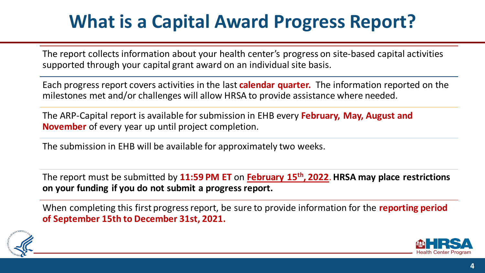### **What is a Capital Award Progress Report?**

The report collects information about your health center's progress on site-based capital activities supported through your capital grant award on an individual site basis.

Each progress report covers activities in the last **calendar quarter.** The information reported on the milestones met and/or challenges will allow HRSA to provide assistance where needed.

The ARP-Capital report is available for submission in EHB every **February, May, August and November** of every year up until project completion.

The submission in EHB will be available for approximately two weeks.

The report must be submitted by **11:59 PM ET** on **February 15th, 2022**. **HRSA may place restrictions on your funding if you do not submit a progress report.**

When completing this first progress report, be sure to provide information for the **reporting period of September 15th to December 31st, 2021.**



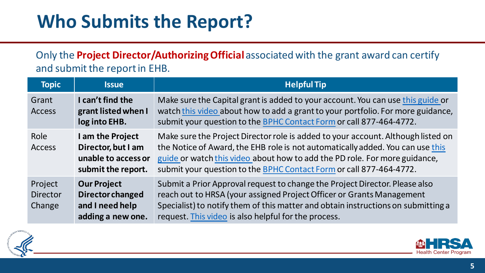### **Who Submits the Report?**

Only the **Project Director/Authorizing Official** associated with the grant award can certify and submit the report in EHB.

| <b>Topic</b>                         | <b>Issue</b>                                                                          | <b>Helpful Tip</b>                                                                                                                                                                                                                                                                                                      |
|--------------------------------------|---------------------------------------------------------------------------------------|-------------------------------------------------------------------------------------------------------------------------------------------------------------------------------------------------------------------------------------------------------------------------------------------------------------------------|
| Grant<br><b>Access</b>               | I can't find the<br>grant listed when I<br>log into EHB.                              | Make sure the Capital grant is added to your account. You can use this guide or<br>watch this video about how to add a grant to your portfolio. For more guidance,<br>submit your question to the BPHC Contact Form or call 877-464-4772.                                                                               |
| Role<br><b>Access</b>                | I am the Project<br>Director, but I am<br>unable to access or<br>submit the report.   | Make sure the Project Director role is added to your account. Although listed on<br>the Notice of Award, the EHB role is not automatically added. You can use this<br>guide or watch this video about how to add the PD role. For more guidance,<br>submit your question to the BPHC Contact Form or call 877-464-4772. |
| Project<br><b>Director</b><br>Change | <b>Our Project</b><br><b>Director changed</b><br>and I need help<br>adding a new one. | Submit a Prior Approval request to change the Project Director. Please also<br>reach out to HRSA (your assigned Project Officer or Grants Management<br>Specialist) to notify them of this matter and obtain instructions on submitting a<br>request. This video is also helpful for the process.                       |



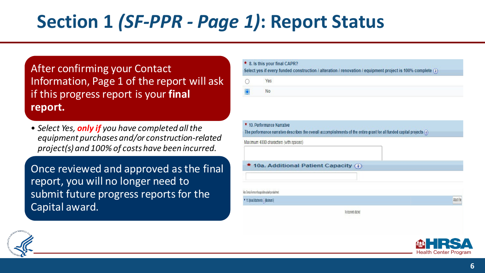## **Section 1** *(SF-PPR - Page 1)***: Report Status**

After confirming your Contact Information, Page 1 of the report will ask if this progress report is your **final report.**

• *Select Yes, only if you have completed all the equipment purchases and/or construction-related project(s) and 100% of costs have been incurred.*

Once reviewed and approved as the final report, you will no longer need to submit future progress reports for the Capital award.

| * 8. Is this your final CAPR?<br>Select yes if every funded construction / alteration / renovation / equipment project is 100% complete (i) |
|---------------------------------------------------------------------------------------------------------------------------------------------|
| Yes                                                                                                                                         |
| No                                                                                                                                          |

| Maximum 4000 characters (with spaces)                                |  |
|----------------------------------------------------------------------|--|
| 10a. Additional Patient Capacity (i)                                 |  |
|                                                                      |  |
|                                                                      |  |
| Note: Correct all errors on the page before uploading an attachment. |  |



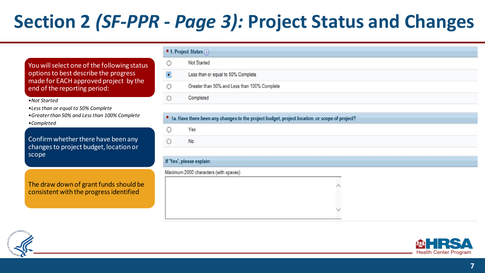## **Section 2** *(SF-PPR - Page 3):* **Project Status and Changes**

You will select one of the following status options to best describe the progress made for EACH approved project by the end of the reporting period:

#### •*Not Started*

- •*Less than or equal to 50% Complete*
- •*Greater than 50% and Less than 100% Complete*
- •*Completed*

Confirm whether there have been any changes to project budget, location or scope

The draw down of grant funds should be consistent with the progress identified

| * 1. Project Status (i) |                                              |  |
|-------------------------|----------------------------------------------|--|
| $\circ$                 | Not Started                                  |  |
| $\bullet$               | Less than or equal to 50% Complete           |  |
| $\circ$                 | Greater than 50% and Less than 100% Complete |  |
| $\circ$                 | Completed                                    |  |
|                         |                                              |  |

#### \* 1a. Have there been any changes to the project budget, project location, or scope of project?

#### If 'Yes', please explain:

Maximum 2000 characters (with spaces)



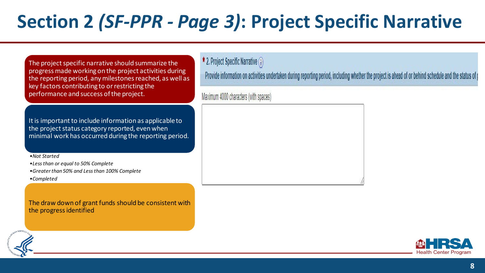## **Section 2** *(SF-PPR - Page 3)***: Project Specific Narrative**

The project specific narrative should summarize the progress made working on the project activities during the reporting period, any milestones reached, as well as key factors contributing to or restricting the performance and success of the project.

It is important to include information as applicable to the project status category reported, even when minimal work has occurred during the reporting period.

•*Not Started*

•*Less than or equal to 50% Complete*

•*Greater than 50% and Less than 100% Complete* 

•*Completed*

The draw down of grant funds should be consistent with the progress identified

 $\star$  2. Project Specific Narrative  $(i)$ 

Provide information on activities undertaken during reporting period, including whether the project is ahead of or behind schedule and the status of p

Maximum 4000 characters (with spaces)

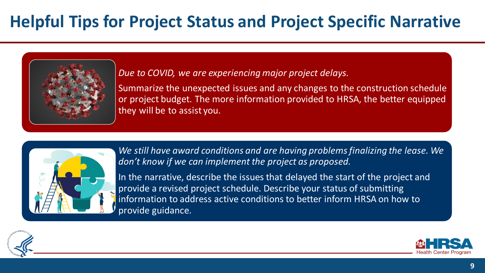### **Helpful Tips for Project Status and Project Specific Narrative**



*Due to COVID, we are experiencing major project delays.*

Summarize the unexpected issues and any changes to the construction schedule or project budget. The more information provided to HRSA, the better equipped they will be to assist you.



*We still have award conditions and are having problems finalizing the lease. We don't know if we can implement the project as proposed.*

In the narrative, describe the issues that delayed the start of the project and provide a revised project schedule. Describe your status of submitting information to address active conditions to better inform HRSA on how to provide guidance.



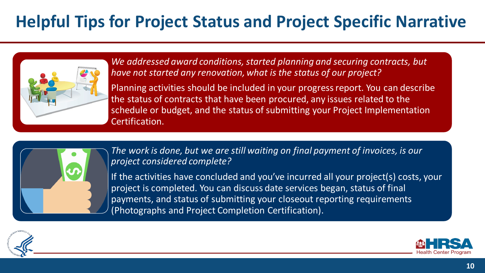### **Helpful Tips for Project Status and Project Specific Narrative**



*We addressed award conditions, started planning and securing contracts, but have not started any renovation, what is the status of our project?* 

Planning activities should be included in your progress report. You can describe the status of contracts that have been procured, any issues related to the schedule or budget, and the status of submitting your Project Implementation Certification.



*The work is done, but we are still waiting on final payment of invoices, is our project considered complete?* 

If the activities have concluded and you've incurred all your project(s) costs, your project is completed. You can discuss date services began, status of final payments, and status of submitting your closeout reporting requirements (Photographs and Project Completion Certification).



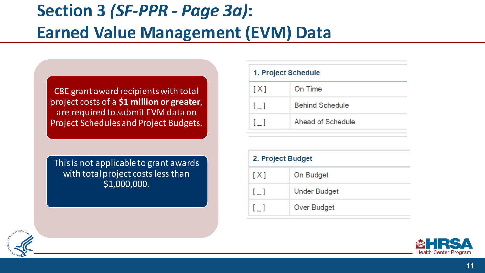### **Section 3** *(SF-PPR - Page 3a)***: Earned Value Management (EVM) Data**

C8E grant award recipients with total project costs of a **\$1 million or greater**, are required to submit EVM data on Project Schedules and Project Budgets.

This is not applicable to grant awards with total project costs less than \$1,000,000.

#### 1. Project Schedule

| [X]            | On Time                |
|----------------|------------------------|
| $\mathbb{I}$ 1 | <b>Behind Schedule</b> |
|                | Ahead of Schedule      |

#### 2. Project Budget

| [X]        | On Budget           |
|------------|---------------------|
| $\lceil$ 1 | <b>Under Budget</b> |
| $\lceil$ 1 | <b>Over Budget</b>  |



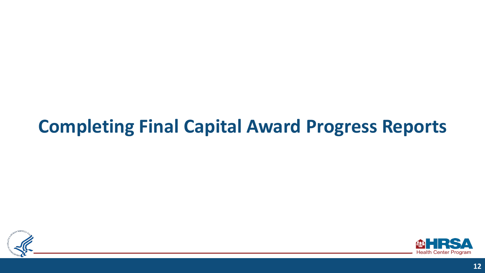### **Completing Final Capital Award Progress Reports**



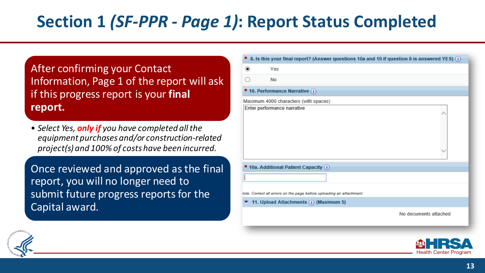### **Section 1** *(SF-PPR - Page 1)***: Report Status Completed**

After confirming your Contact Information, Page 1 of the report will ask if this progress report is your **final report.**

• *Select Yes, only if you have completed all the equipment purchases and/or construction-related project(s) and 100% of costs have been incurred.*

Once reviewed and approved as the final report, you will no longer need to submit future progress reports for the Capital award.

| ◉ | Yes                                                                  |  |
|---|----------------------------------------------------------------------|--|
|   |                                                                      |  |
|   | No                                                                   |  |
|   | * 10. Performance Narrative (i)                                      |  |
|   | Maximum 4000 characters (with spaces)                                |  |
|   | Enter performance narrative                                          |  |
|   |                                                                      |  |
|   | * 10a. Additional Patient Capacity (i)                               |  |
|   |                                                                      |  |
|   | lote: Correct all errors on the page before uploading an attachment. |  |
|   | 11. Upload Attachments (;) (Maximum 5)                               |  |



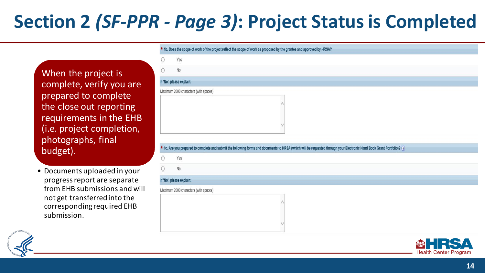## **Section 2** *(SF-PPR - Page 3)***: Project Status is Completed**

When the project is complete, verify you are prepared to complete the close out reporting requirements in the EHB (i.e. project completion, photographs, final budget).

• Documents uploaded in your progress report are separate from EHB submissions and will not get transferred into the corresponding required EHB submission.

|   | * 1b. Does the scope of work of the project reflect the scope of work as proposed by the grantee and approved by HRSA?                                                   |
|---|--------------------------------------------------------------------------------------------------------------------------------------------------------------------------|
| 0 | Yes                                                                                                                                                                      |
| 0 | No                                                                                                                                                                       |
|   | If 'No', please explain:                                                                                                                                                 |
|   | Maximum 2000 characters (with spaces)                                                                                                                                    |
|   |                                                                                                                                                                          |
|   | * 1c. Are you prepared to complete and submit the following forms and documents to HRSA (which will be requested through your Electronic Hand Book Grant Portfolio)? (i) |
| 0 | Yes                                                                                                                                                                      |
| 0 | No                                                                                                                                                                       |
|   | If 'No', please explain:                                                                                                                                                 |



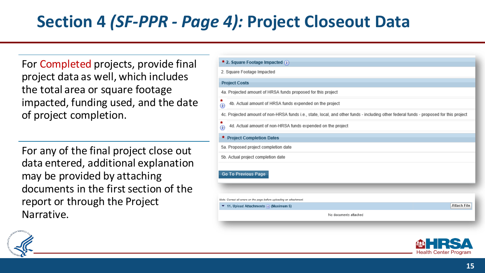### **Section 4** *(SF-PPR - Page 4):* **Project Closeout Data**

For Completed projects, provide final project data as well, which includes the total area or square footage impacted, funding used, and the date of project completion.

For any of the final project close out data entered, additional explanation may be provided by attaching documents in the first section of the report or through the Project Narrative.

| * 2. Square Footage Impacted (i)                                                                                                       |
|----------------------------------------------------------------------------------------------------------------------------------------|
| 2. Square Footage Impacted                                                                                                             |
| <b>Project Costs</b>                                                                                                                   |
| 4a. Projected amount of HRSA funds proposed for this project                                                                           |
| 4b. Actual amount of HRSA funds expended on the project<br>⊕                                                                           |
| 4c. Projected amount of non-HRSA funds i.e., state, local, and other funds - including other federal funds - proposed for this project |
| 4d. Actual amount of non-HRSA funds expended on the project<br>⊕                                                                       |
| <b>Project Completion Dates</b><br>*                                                                                                   |
| 5a. Proposed project completion date                                                                                                   |
| 5b. Actual project completion date                                                                                                     |
| <b>Go To Previous Page</b>                                                                                                             |
| Note: Correct all errors on the page before uploading an attachment.                                                                   |
| <b>Attach File</b><br>$\blacktriangleright$ 11. Upload Attachments (;) (Maximum 5)                                                     |
| No documents attached                                                                                                                  |
|                                                                                                                                        |

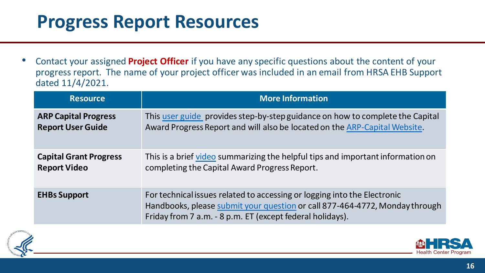### **Progress Report Resources**

• Contact your assigned **Project Officer** if you have any specific questions about the content of your progress report. The name of your project officer was included in an email from HRSA EHB Support dated 11/4/2021.

| <b>Resource</b>               | <b>More Information</b>                                                                                                                                                                                              |
|-------------------------------|----------------------------------------------------------------------------------------------------------------------------------------------------------------------------------------------------------------------|
| <b>ARP Capital Progress</b>   | This user guide provides step-by-step guidance on how to complete the Capital                                                                                                                                        |
| <b>Report User Guide</b>      | Award Progress Report and will also be located on the ARP-Capital Website.                                                                                                                                           |
| <b>Capital Grant Progress</b> | This is a brief video summarizing the helpful tips and important information on                                                                                                                                      |
| <b>Report Video</b>           | completing the Capital Award Progress Report.                                                                                                                                                                        |
| <b>EHBs Support</b>           | For technical issues related to accessing or logging into the Electronic<br>Handbooks, please submit your question or call 877-464-4772, Monday through<br>Friday from 7 a.m. - 8 p.m. ET (except federal holidays). |



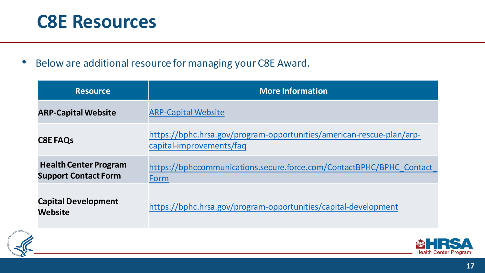### **C8E Resources**

• Below are additional resource for managing your C8E Award.

| <b>Resource</b>                                             | <b>More Information</b>                                                                           |
|-------------------------------------------------------------|---------------------------------------------------------------------------------------------------|
| <b>ARP-Capital Website</b>                                  | <b>ARP-Capital Website</b>                                                                        |
| <b>C8E FAQS</b>                                             | https://bphc.hrsa.gov/program-opportunities/american-rescue-plan/arp-<br>capital-improvements/faq |
| <b>Health Center Program</b><br><b>Support Contact Form</b> | https://bphccommunications.secure.force.com/ContactBPHC/BPHC Contact<br>Form                      |
| <b>Capital Development</b><br>Website                       | https://bphc.hrsa.gov/program-opportunities/capital-development                                   |



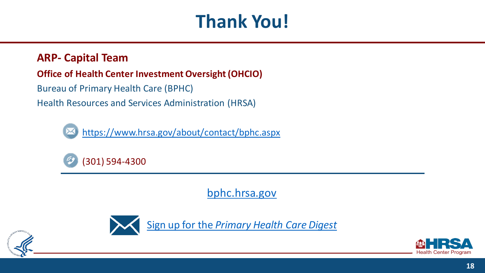### **Thank You!**

### **ARP- Capital Team**

### **Office of Health Center Investment Oversight (OHCIO)**

Bureau of Primary Health Care (BPHC)

Health Resources and Services Administration (HRSA)



https://www.hrsa.gov/about/contact/bphc.aspx



[bphc.hrsa.gov](https://bphc.hrsa.gov/)



Sign up for the *[Primary Health Care Digest](https://public.govdelivery.com/accounts/USHHSHRSA/subscriber/new?qsp=HRSA-subscribe)*